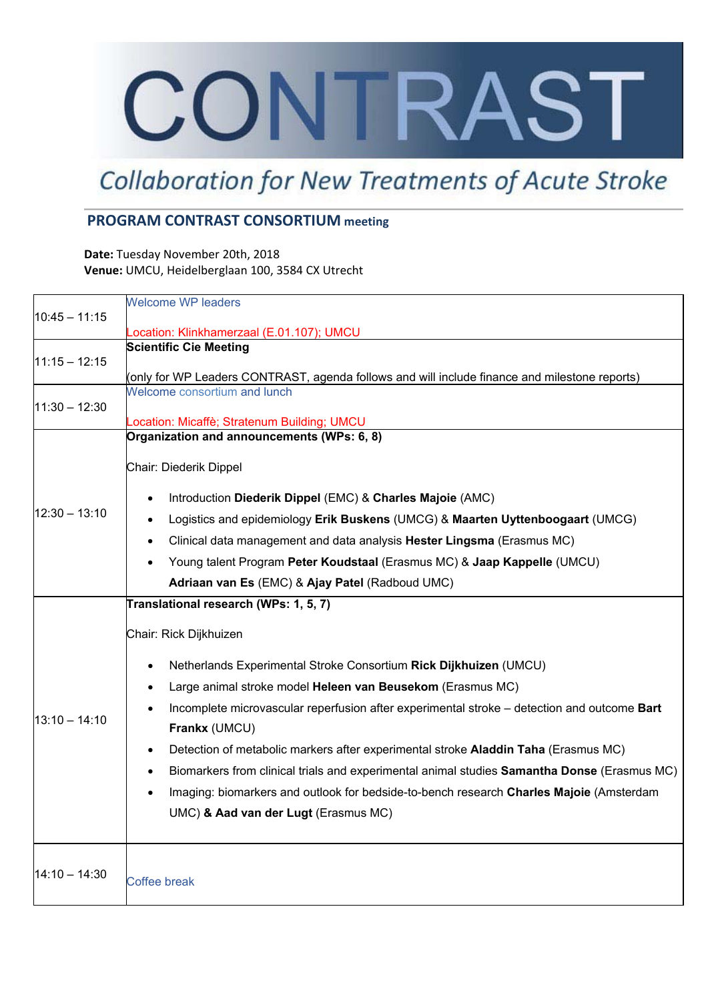# CONTRAST

## **Collaboration for New Treatments of Acute Stroke**

#### **PROGRAM CONTRAST CONSORTIUM meeting**

**Date:** Tuesday November 20th, 2018 **Venue:** UMCU, Heidelberglaan 100, 3584 CX Utrecht

|                 | <b>Welcome WP leaders</b>                                                                                |
|-----------------|----------------------------------------------------------------------------------------------------------|
| $10:45 - 11:15$ | ocation: Klinkhamerzaal (E.01.107); UMCU                                                                 |
|                 | <b>Scientific Cie Meeting</b>                                                                            |
| $11:15 - 12:15$ |                                                                                                          |
|                 | (only for WP Leaders CONTRAST, agenda follows and will include finance and milestone reports)            |
|                 | Welcome consortium and lunch                                                                             |
| $11:30 - 12:30$ | Location: Micaffè; Stratenum Building; UMCU                                                              |
| $12:30 - 13:10$ | Organization and announcements (WPs: 6, 8)                                                               |
|                 |                                                                                                          |
|                 | Chair: Diederik Dippel                                                                                   |
|                 | Introduction Diederik Dippel (EMC) & Charles Majoie (AMC)<br>$\bullet$                                   |
|                 | Logistics and epidemiology Erik Buskens (UMCG) & Maarten Uyttenboogaart (UMCG)                           |
|                 | Clinical data management and data analysis Hester Lingsma (Erasmus MC)<br>$\bullet$                      |
|                 | Young talent Program Peter Koudstaal (Erasmus MC) & Jaap Kappelle (UMCU)                                 |
|                 | Adriaan van Es (EMC) & Ajay Patel (Radboud UMC)                                                          |
|                 |                                                                                                          |
| $13:10 - 14:10$ | Translational research (WPs: 1, 5, 7)                                                                    |
|                 | Chair: Rick Dijkhuizen                                                                                   |
|                 | Netherlands Experimental Stroke Consortium Rick Dijkhuizen (UMCU)<br>$\bullet$                           |
|                 | Large animal stroke model Heleen van Beusekom (Erasmus MC)<br>$\bullet$                                  |
|                 | Incomplete microvascular reperfusion after experimental stroke - detection and outcome Bart              |
|                 | Frankx (UMCU)                                                                                            |
|                 | Detection of metabolic markers after experimental stroke Aladdin Taha (Erasmus MC)<br>$\bullet$          |
|                 | Biomarkers from clinical trials and experimental animal studies Samantha Donse (Erasmus MC)<br>$\bullet$ |
|                 |                                                                                                          |
|                 | Imaging: biomarkers and outlook for bedside-to-bench research Charles Majoie (Amsterdam                  |
|                 | UMC) & Aad van der Lugt (Erasmus MC)                                                                     |
|                 |                                                                                                          |
| $14:10 - 14:30$ | Coffee break                                                                                             |
|                 |                                                                                                          |